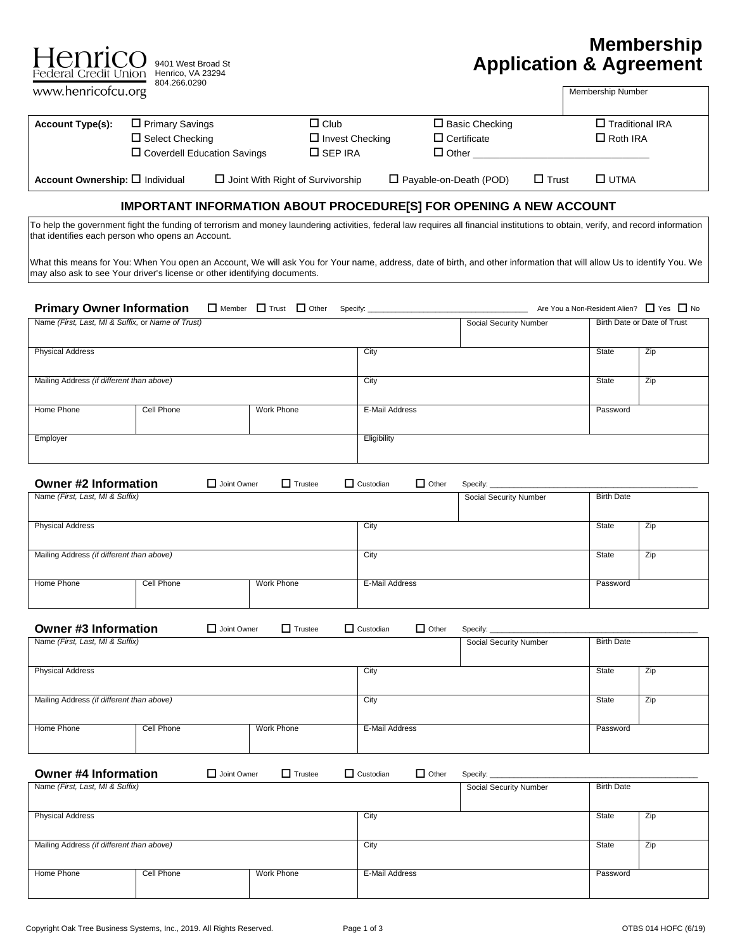| Henricc                                                                                                      | 9401 West Broad St<br>Federal Credit Union Henrico, VA 23294                                                                                                                                                                                                  |                                                         |                                  | <b>Application &amp; Agreement</b>                             |                                           | <b>Membership</b>           |
|--------------------------------------------------------------------------------------------------------------|---------------------------------------------------------------------------------------------------------------------------------------------------------------------------------------------------------------------------------------------------------------|---------------------------------------------------------|----------------------------------|----------------------------------------------------------------|-------------------------------------------|-----------------------------|
| www.henricofcu.org                                                                                           | 804.266.0290                                                                                                                                                                                                                                                  |                                                         |                                  |                                                                | Membership Number                         |                             |
| <b>Account Type(s):</b>                                                                                      | $\Box$ Primary Savings<br>$\Box$ Select Checking<br>$\Box$ Coverdell Education Savings                                                                                                                                                                        | $\Box$ Club<br>$\Box$ Invest Checking<br>$\Box$ SEP IRA |                                  | $\square$ Basic Checking<br>$\Box$ Certificate<br>$\Box$ Other | $\Box$ Traditional IRA<br>$\Box$ Roth IRA |                             |
| Account Ownership: O Individual                                                                              |                                                                                                                                                                                                                                                               | $\Box$ Joint With Right of Survivorship                 | $\Box$ Payable-on-Death (POD)    | $\Box$ Trust                                                   | $\square$ UTMA                            |                             |
|                                                                                                              | <b>IMPORTANT INFORMATION ABOUT PROCEDURE[S] FOR OPENING A NEW ACCOUNT</b><br>To help the government fight the funding of terrorism and money laundering activities, federal law requires all financial institutions to obtain, verify, and record information |                                                         |                                  |                                                                |                                           |                             |
|                                                                                                              | that identifies each person who opens an Account.                                                                                                                                                                                                             |                                                         |                                  |                                                                |                                           |                             |
|                                                                                                              | What this means for You: When You open an Account, We will ask You for Your name, address, date of birth, and other information that will allow Us to identify You. We<br>may also ask to see Your driver's license or other identifying documents.           |                                                         |                                  |                                                                |                                           |                             |
| <b>Primary Owner Information</b>                                                                             |                                                                                                                                                                                                                                                               | $\Box$ Member $\Box$ Trust $\Box$ Other<br>Specify:     |                                  |                                                                | Are You a Non-Resident Alien?             | $\Box$ Yes $\Box$ No        |
| Name (First, Last, MI & Suffix, or Name of Trust)                                                            |                                                                                                                                                                                                                                                               |                                                         |                                  | Social Security Number                                         |                                           | Birth Date or Date of Trust |
| <b>Physical Address</b>                                                                                      |                                                                                                                                                                                                                                                               |                                                         | City                             |                                                                | State                                     | Zip                         |
| Mailing Address (if different than above)                                                                    |                                                                                                                                                                                                                                                               |                                                         | City                             |                                                                | State                                     | Zip                         |
| Home Phone                                                                                                   | Cell Phone                                                                                                                                                                                                                                                    | Work Phone                                              | E-Mail Address                   |                                                                | Password                                  |                             |
| Employer                                                                                                     |                                                                                                                                                                                                                                                               |                                                         | Eligibility                      |                                                                |                                           |                             |
|                                                                                                              |                                                                                                                                                                                                                                                               |                                                         |                                  |                                                                |                                           |                             |
| <b>Owner #2 Information</b><br>Name (First, Last, MI & Suffix)                                               | $\Box$ Joint Owner                                                                                                                                                                                                                                            | $\Box$ Trustee                                          | $\Box$ Other<br>$\Box$ Custodian | Specify:<br>Social Security Number                             | <b>Birth Date</b>                         |                             |
|                                                                                                              |                                                                                                                                                                                                                                                               |                                                         |                                  |                                                                |                                           |                             |
| <b>Physical Address</b>                                                                                      |                                                                                                                                                                                                                                                               |                                                         | City                             |                                                                | <b>State</b>                              | Zip                         |
| Mailing Address (if different than above)                                                                    |                                                                                                                                                                                                                                                               |                                                         | City                             |                                                                | <b>State</b>                              | Zip                         |
| Home Phone                                                                                                   | Cell Phone                                                                                                                                                                                                                                                    | Work Phone                                              | E-Mail Address                   |                                                                | Password                                  |                             |
| <b>Owner #3 Information</b>                                                                                  | $\Box$ Joint Owner                                                                                                                                                                                                                                            | $\Box$ Trustee                                          | $\Box$ Other<br>$\Box$ Custodian | Specify:                                                       |                                           |                             |
| Name (First, Last, MI & Suffix)                                                                              |                                                                                                                                                                                                                                                               |                                                         |                                  | Social Security Number                                         | <b>Birth Date</b>                         |                             |
| <b>Physical Address</b>                                                                                      |                                                                                                                                                                                                                                                               |                                                         | City                             |                                                                | State                                     | Zip                         |
| Mailing Address (if different than above)                                                                    |                                                                                                                                                                                                                                                               |                                                         | City                             |                                                                | State                                     | Zip                         |
| Home Phone                                                                                                   | <b>Cell Phone</b>                                                                                                                                                                                                                                             | <b>Work Phone</b>                                       | E-Mail Address                   |                                                                | Password                                  |                             |
|                                                                                                              |                                                                                                                                                                                                                                                               |                                                         |                                  |                                                                |                                           |                             |
| <b>Owner #4 Information</b><br>$\Box$ Other<br>Joint Owner<br>$\Box$ Trustee<br>$\Box$ Custodian<br>Specify: |                                                                                                                                                                                                                                                               |                                                         |                                  |                                                                |                                           |                             |
| Name (First, Last, MI & Suffix)                                                                              |                                                                                                                                                                                                                                                               |                                                         |                                  | Social Security Number                                         | <b>Birth Date</b>                         |                             |
| <b>Physical Address</b>                                                                                      |                                                                                                                                                                                                                                                               |                                                         | City                             |                                                                | State                                     | Zip                         |
| Mailing Address (if different than above)                                                                    |                                                                                                                                                                                                                                                               |                                                         | City                             |                                                                | State                                     | Zip                         |
| Home Phone                                                                                                   | Cell Phone                                                                                                                                                                                                                                                    | Work Phone                                              | E-Mail Address                   |                                                                | Password                                  |                             |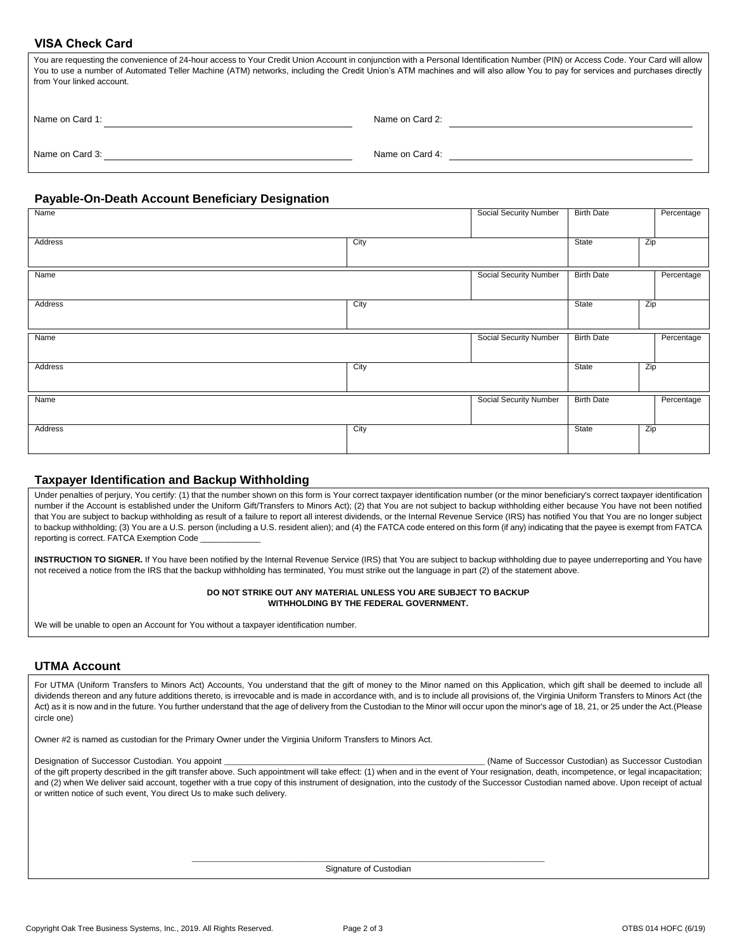# **VISA Check Card**

| You are requesting the convenience of 24-hour access to Your Credit Union Account in conjunction with a Personal Identification Number (PIN) or Access Code. Your Card will allow<br>You to use a number of Automated Teller Machine (ATM) networks, including the Credit Union's ATM machines and will also allow You to pay for services and purchases directly<br>from Your linked account. |                 |  |  |  |  |
|------------------------------------------------------------------------------------------------------------------------------------------------------------------------------------------------------------------------------------------------------------------------------------------------------------------------------------------------------------------------------------------------|-----------------|--|--|--|--|
| Name on Card 1:                                                                                                                                                                                                                                                                                                                                                                                | Name on Card 2: |  |  |  |  |
| Name on Card 3:                                                                                                                                                                                                                                                                                                                                                                                | Name on Card 4: |  |  |  |  |

## **Payable-On-Death Account Beneficiary Designation**

| Name    |      | Social Security Number        | <b>Birth Date</b> | Percentage |
|---------|------|-------------------------------|-------------------|------------|
| Address | City |                               | State             | Zip        |
|         |      |                               |                   |            |
|         |      |                               |                   |            |
| Name    |      | <b>Social Security Number</b> | <b>Birth Date</b> | Percentage |
| Address | City |                               | State             | Zip        |
|         |      |                               |                   |            |
|         |      |                               |                   |            |
| Name    |      | <b>Social Security Number</b> | <b>Birth Date</b> | Percentage |
|         |      |                               |                   |            |
| Address | City |                               | State             | Zip        |
|         |      |                               |                   |            |
| Name    |      | <b>Social Security Number</b> | <b>Birth Date</b> | Percentage |
|         |      |                               |                   |            |
| Address | City |                               | State             | Zip        |
|         |      |                               |                   |            |

### **Taxpayer Identification and Backup Withholding**

Under penalties of perjury, You certify: (1) that the number shown on this form is Your correct taxpayer identification number (or the minor beneficiary's correct taxpayer identification number if the Account is established under the Uniform Gift/Transfers to Minors Act); (2) that You are not subject to backup withholding either because You have not been notified that You are subject to backup withholding as result of a failure to report all interest dividends, or the Internal Revenue Service (IRS) has notified You that You are no longer subject to backup withholding; (3) You are a U.S. person (including a U.S. resident alien); and (4) the FATCA code entered on this form (if any) indicating that the payee is exempt from FATCA reporting is correct. FATCA Exemption Code

**INSTRUCTION TO SIGNER.** If You have been notified by the Internal Revenue Service (IRS) that You are subject to backup withholding due to payee underreporting and You have not received a notice from the IRS that the backup withholding has terminated, You must strike out the language in part (2) of the statement above.

#### **DO NOT STRIKE OUT ANY MATERIAL UNLESS YOU ARE SUBJECT TO BACKUP WITHHOLDING BY THE FEDERAL GOVERNMENT.**

We will be unable to open an Account for You without a taxpayer identification number.

# **UTMA Account**

For UTMA (Uniform Transfers to Minors Act) Accounts, You understand that the gift of money to the Minor named on this Application, which gift shall be deemed to include all dividends thereon and any future additions thereto, is irrevocable and is made in accordance with, and is to include all provisions of, the Virginia Uniform Transfers to Minors Act (the Act) as it is now and in the future. You further understand that the age of delivery from the Custodian to the Minor will occur upon the minor's age of 18, 21, or 25 under the Act.(Please circle one)

Owner #2 is named as custodian for the Primary Owner under the Virginia Uniform Transfers to Minors Act.

Designation of Successor Custodian. You appoint \_\_\_\_\_\_\_\_\_\_\_\_\_\_\_\_\_\_\_\_\_\_\_\_\_\_\_\_\_\_\_\_\_\_\_\_\_\_\_\_\_\_\_\_\_\_\_\_\_\_\_\_\_\_\_\_\_\_\_\_\_\_ (Name of Successor Custodian) as Successor Custodian of the gift property described in the gift transfer above. Such appointment will take effect: (1) when and in the event of Your resignation, death, incompetence, or legal incapacitation; and (2) when We deliver said account, together with a true copy of this instrument of designation, into the custody of the Successor Custodian named above. Upon receipt of actual or written notice of such event, You direct Us to make such delivery.

> \_\_\_\_\_\_\_\_\_\_\_\_\_\_\_\_\_\_\_\_\_\_\_\_\_\_\_\_\_\_\_\_\_\_\_\_\_\_\_\_\_\_\_\_\_\_\_\_\_\_\_\_\_\_\_\_\_\_\_\_\_\_\_\_\_\_\_\_\_\_\_\_\_\_\_\_\_\_\_\_\_\_\_\_ Signature of Custodian